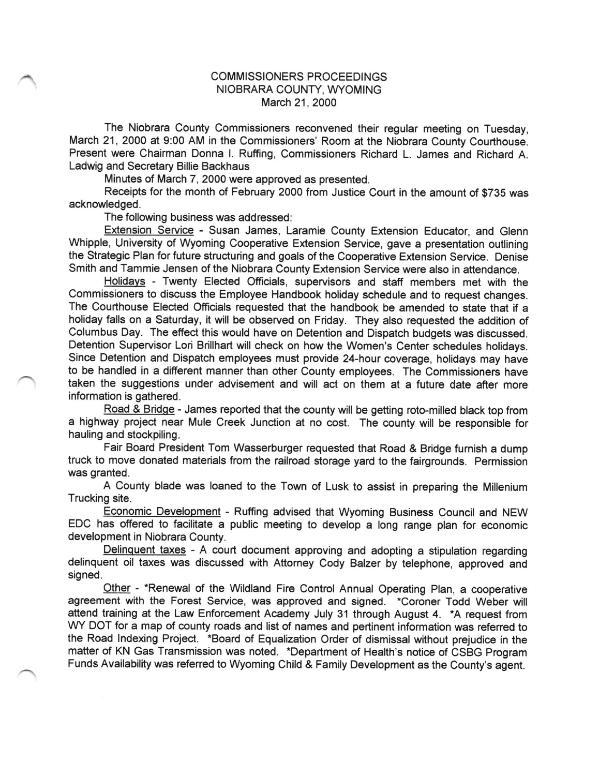## COMMISSIONERS PROCEEDINGS NIOBRARA COUNTY, WYOMING March 21, 2000

The Niobrara County Commissioners reconvened their regular meeting on Tuesday, March 21, 2000 at 9:00 AM in the Commissioners' Room at the Niobrara County Courihouse. Present were Chairman Donna l. Ruffing, Commissioners Richard L. James and Richard A. Ladwig and Secretary Billie Backhaus

Minutes of March 7, 2000 were approved as presented.

Receipts for the month of February 2000 from Justice Court in the amount of \$735 was acknowledged.

The following business was addressed:

Extension Service - Susan James, Laramie County Extension Educator, and Glenn Whipple, University of Wyoming Cooperative Extension Service, gave a presentation outlining the Strategic Plan for future structuring and goals of the Cooperative Extension Service. Denise Smith and Tammie Jensen of the Niobrara County Extension Service were also in attendance.

Holidavs - Twenty Elected Officials, supervisors and staff members met with the Commissioners to discuss the Employee Handbook holiday schedule and to request changes. The Courthouse Elected Officials requested that the handbook be amended to state that if a holiday falls on a Saturday, it will be observed on Friday. They also requested the addition of Columbus Day. The effect this would have on Detention and Dispatch budgets was discussed. Detention Supervisor Lori Brillhart will check on how the Women's Center schedules holidays. Since Detention and Dispatch employees must provide 24-hout coverage, holidays may have to be handled in a different manner than other County employees. The Commissioners have taken the suggestions under advisement and will act on them at a future date after more information is gathered.

Road & Bridge - James reported that the county will be getting roto-milled black top from a highway project near Mule Creek Junction at no cost. The county will be responsible for hauling and stockpiling.

Fair Board President Tom Wasserburger requested that Road & Bridge furnish a dump truck to move donated materials from the railroad storage yard to the fairgrounds. Permission was granted.

A County blade was loaned to the Town of Lusk to assist in preparing the Millenium Trucking site.

Economic Development - Ruffing advised that Wyoming Business Council and NEW EDC has offered to facilitate a public meeting to develop a long range plan for economic development in Niobrara County.

Delinquent taxes - A court document approving and adopting a stipulation regarding delinquent oil taxes was discussed with Attorney Cody Balzer by telephone, approved and signed.

Other - \*Renewal of the Wildland Fire Control Annual Operating Plan, a cooperative agreement with the Forest Service, was approved and signed. "Coroner Todd Weber will attend training at the Law Enforcement Academy July 31 through August 4. \*A request from WY DOT for a map of county roads and list of names and pertinent information was referred to the Road Indexing Project. \*Board of Equalization Order of dismissal without prejudice in the matter of KN Gas Transmission was noted. \*Department of Health's notice of CSBG program Funds Availability was refered to Wyoming Child & Family Development as the County's agent.